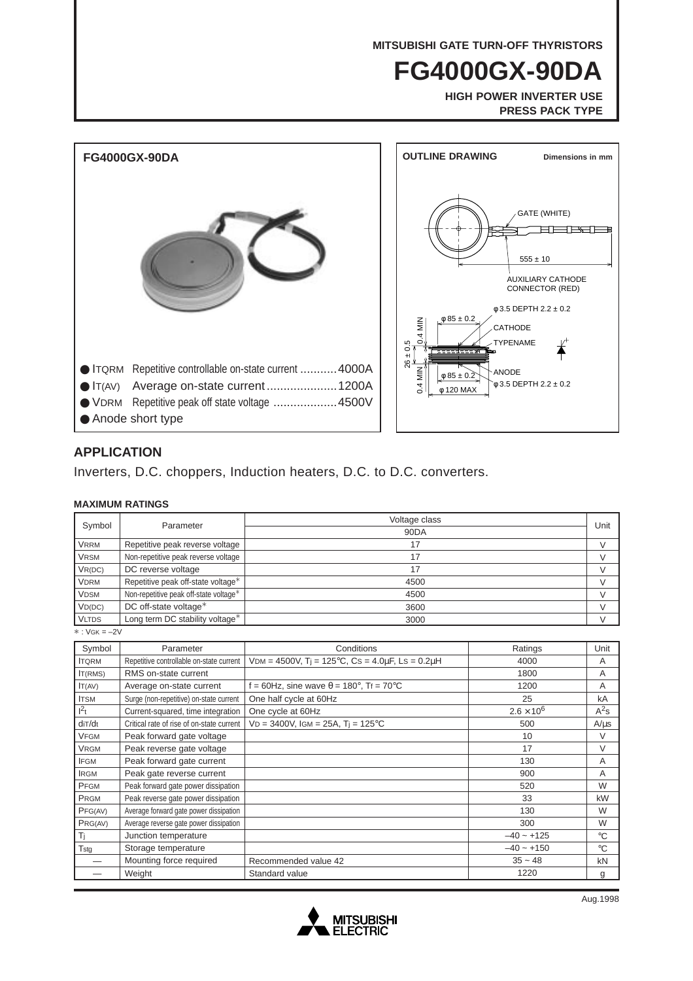**MITSUBISHI GATE TURN-OFF THYRISTORS**

# **FG4000GX-90DA**

**HIGH POWER INVERTER USE PRESS PACK TYPE**



### **APPLICATION**

Inverters, D.C. choppers, Induction heaters, D.C. to D.C. converters.

#### **MAXIMUM RATINGS**

| Symbol       | Parameter                              | Voltage class |      |
|--------------|----------------------------------------|---------------|------|
|              |                                        | 90DA          | Unit |
| <b>VRRM</b>  | Repetitive peak reverse voltage        | 17            |      |
| <b>VRSM</b>  | Non-repetitive peak reverse voltage    | 17            |      |
| VR(DC)       | DC reverse voltage                     | 17            |      |
| <b>VDRM</b>  | Repetitive peak off-state voltage*     | 4500          |      |
| <b>VDSM</b>  | Non-repetitive peak off-state voltage* | 4500          |      |
| VD(DC)       | DC off-state voltage*                  | 3600          |      |
| <b>VLTDS</b> | Long term DC stability voltage*        | 3000          |      |

 $* : V$ GK =  $-2V$ 

| Symbol       | Parameter                                 | Conditions                                                              | Ratings             | Unit        |
|--------------|-------------------------------------------|-------------------------------------------------------------------------|---------------------|-------------|
| <b>ITQRM</b> | Repetitive controllable on-state current  | VDM = 4500V, T <sub>i</sub> = 125°C, Cs = 4.0 $\mu$ F, Ls = 0.2 $\mu$ H | 4000                | A           |
| IT(RMS)      | RMS on-state current                      |                                                                         | 1800                | A           |
| IT(AV)       | Average on-state current                  | f = 60Hz, sine wave $\theta$ = 180°, Tf = 70°C                          | 1200                | A           |
| <b>ITSM</b>  | Surge (non-repetitive) on-state current   | One half cycle at 60Hz                                                  | 25                  | kA          |
| $1^2t$       | Current-squared, time integration         | One cycle at 60Hz                                                       | $2.6 \times 10^{6}$ | $A^2s$      |
| diT/dt       | Critical rate of rise of on-state current | $VD = 3400V$ , IGM = 25A, T <sub>i</sub> = 125°C                        | 500                 | $A/\mu s$   |
| <b>VFGM</b>  | Peak forward gate voltage                 |                                                                         | 10                  | $\vee$      |
| <b>VRGM</b>  | Peak reverse gate voltage                 |                                                                         | 17                  | V           |
| <b>IFGM</b>  | Peak forward gate current                 |                                                                         | 130                 | A           |
| <b>IRGM</b>  | Peak gate reverse current                 |                                                                         | 900                 | A           |
| PFGM         | Peak forward gate power dissipation       |                                                                         | 520                 | W           |
| PRGM         | Peak reverse gate power dissipation       |                                                                         | 33                  | kW          |
| PFG(AV)      | Average forward gate power dissipation    |                                                                         | 130                 | W           |
| PRG(AV)      | Average reverse gate power dissipation    |                                                                         | 300                 | W           |
| Τj           | Junction temperature                      |                                                                         | $-40 - 125$         | $^{\circ}C$ |
| Tstg         | Storage temperature                       |                                                                         | $-40 - +150$        | $^{\circ}C$ |
|              | Mounting force required                   | Recommended value 42                                                    | $35 - 48$           | kN          |
|              | Weight                                    | Standard value                                                          | 1220                | g           |

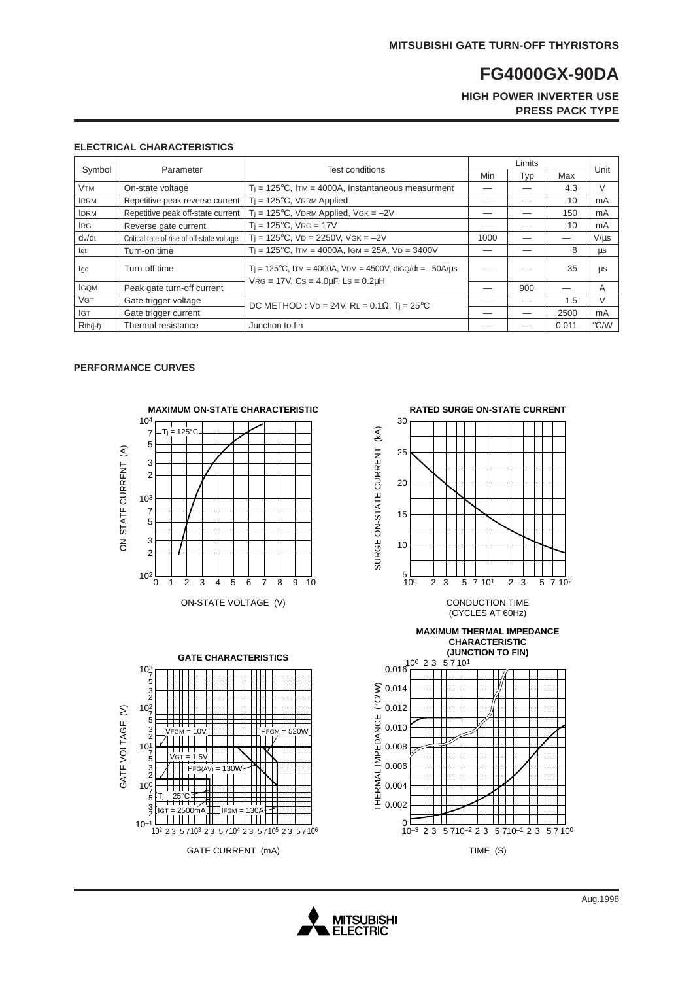## **FG4000GX-90DA**

**HIGH POWER INVERTER USE PRESS PACK TYPE**

#### **ELECTRICAL CHARACTERISTICS**

| Symbol                | Parameter                                  | Test conditions                                                                                                           | Limits |     |       |               |
|-----------------------|--------------------------------------------|---------------------------------------------------------------------------------------------------------------------------|--------|-----|-------|---------------|
|                       |                                            |                                                                                                                           | Min    | Typ | Max   | Unit          |
| <b>V<sub>TM</sub></b> | On-state voltage                           | $T_i = 125^{\circ}$ C, ITM = 4000A, Instantaneous measurment                                                              |        |     | 4.3   | V             |
| <b>IRRM</b>           | Repetitive peak reverse current            | $T_i = 125^{\circ}C$ , VRRM Applied                                                                                       |        |     | 10    | mA            |
| <b>IDRM</b>           | Repetitive peak off-state current          | $T_i = 125$ °C, VDRM Applied, VGK = $-2V$                                                                                 |        |     | 150   | mA            |
| <b>IRG</b>            | Reverse gate current                       | $T_i = 125$ °C, VRG = 17V                                                                                                 |        |     | 10    | mA            |
| dv/dt                 | Critical rate of rise of off-state voltage | $T_i = 125$ °C, VD = 2250V, VGK = -2V                                                                                     | 1000   |     |       | $V/ \mu s$    |
| tgt                   | Turn-on time                               | $Ti = 125^{\circ}C$ , ITM = 4000A, IGM = 25A, VD = 3400V                                                                  |        |     | 8     | μs            |
| tgq                   | Turn-off time                              | T <sub>i</sub> = 125°C, ITM = 4000A, VDM = 4500V, dig $Q/dt = -50A/us$<br>$VRG = 17V$ , $Cs = 4.0\mu F$ , $Ls = 0.2\mu H$ |        |     | 35    | μs            |
| <b>IGQM</b>           | Peak gate turn-off current                 |                                                                                                                           |        | 900 |       | A             |
| <b>VGT</b>            | Gate trigger voltage                       | DC METHOD : $VD = 24V$ , RL = 0.1 $\Omega$ , T <sub>i</sub> = 25 <sup>o</sup> C                                           |        |     | 1.5   | $\vee$        |
| <b>IGT</b>            | Gate trigger current                       |                                                                                                                           |        |     | 2500  | mA            |
| $Rth(j-f)$            | Thermal resistance                         | Junction to fin                                                                                                           |        |     | 0.011 | $\degree$ C/W |

#### **PERFORMANCE CURVES**





**RATED SURGE ON-STATE CURRENT**



 $\Box$  $10^{-3}$  2 3 5 710<sup>-2</sup> 2 3 5 710<sup>-1</sup> 2 3 5 710<sup>0</sup>

TTTTT

TIME (S)



 $\mathfrak{o}$  t

 $\blacksquare$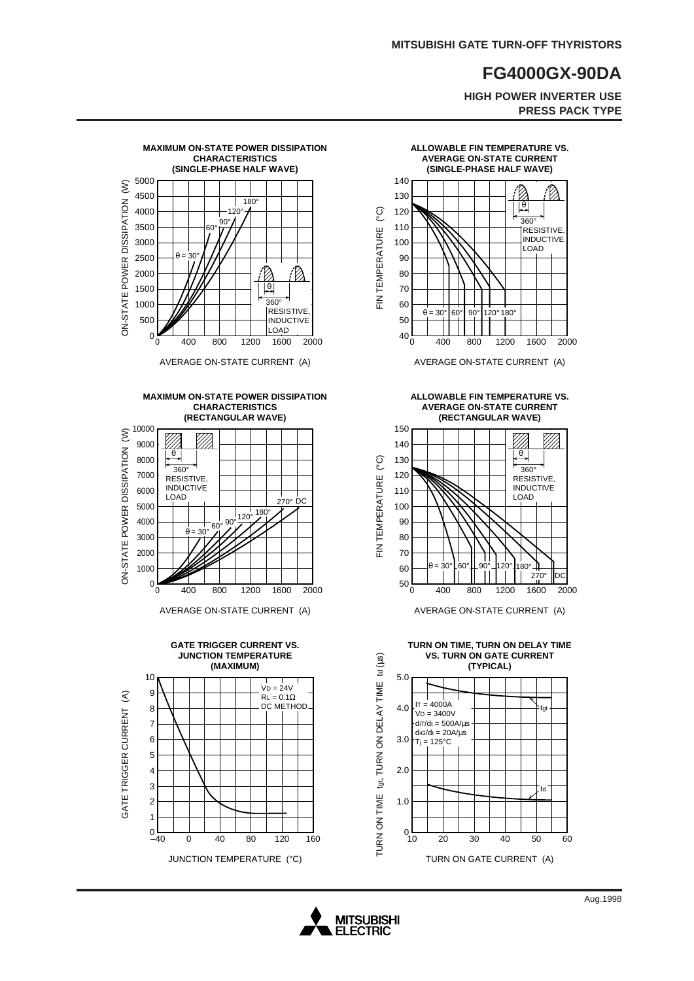## **FG4000GX-90DA**

**HIGH POWER INVERTER USE PRESS PACK TYPE**